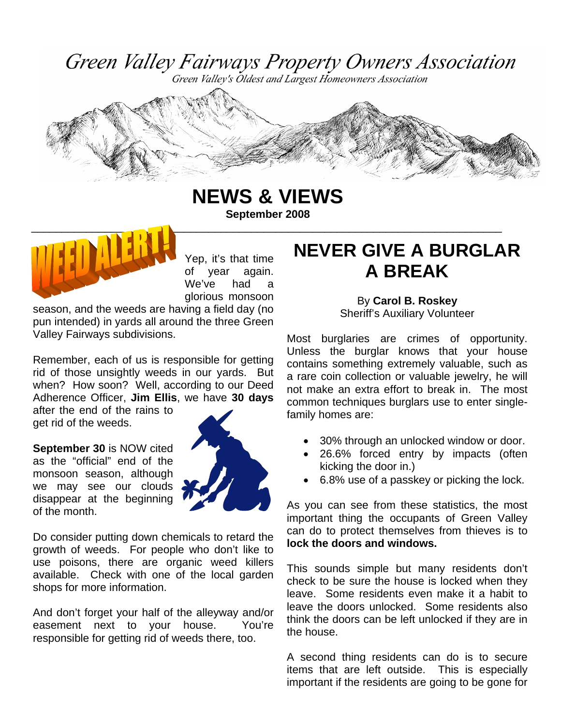Green Valley Fairways Property Owners Association

Green Valley's Oldest and Largest Homeowners Association



**NEWS & VIEWS** 

**September 2008** 



Yep, it's that time of year again. We've had a glorious monsoon

season, and the weeds are having a field day (no pun intended) in yards all around the three Green Valley Fairways subdivisions.

Remember, each of us is responsible for getting rid of those unsightly weeds in our yards. But when? How soon? Well, according to our Deed Adherence Officer, **Jim Ellis**, we have **30 days**

after the end of the rains to get rid of the weeds.

**September 30** is NOW cited as the "official" end of the monsoon season, although we may see our clouds disappear at the beginning of the month.



Do consider putting down chemicals to retard the growth of weeds. For people who don't like to use poisons, there are organic weed killers available. Check with one of the local garden shops for more information.

And don't forget your half of the alleyway and/or easement next to your house. You're responsible for getting rid of weeds there, too.

# **NEVER GIVE A BURGLAR A BREAK**

By **Carol B. Roskey** Sheriff's Auxiliary Volunteer

Most burglaries are crimes of opportunity. Unless the burglar knows that your house contains something extremely valuable, such as a rare coin collection or valuable jewelry, he will not make an extra effort to break in. The most common techniques burglars use to enter singlefamily homes are:

- 30% through an unlocked window or door.
- 26.6% forced entry by impacts (often kicking the door in.)
- 6.8% use of a passkey or picking the lock.

As you can see from these statistics, the most important thing the occupants of Green Valley can do to protect themselves from thieves is to **lock the doors and windows.** 

This sounds simple but many residents don't check to be sure the house is locked when they leave. Some residents even make it a habit to leave the doors unlocked. Some residents also think the doors can be left unlocked if they are in the house.

A second thing residents can do is to secure items that are left outside. This is especially important if the residents are going to be gone for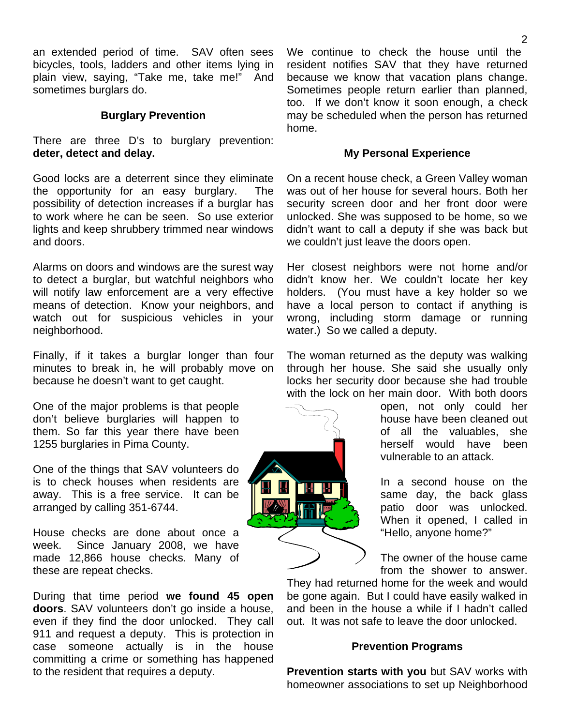an extended period of time. SAV often sees bicycles, tools, ladders and other items lying in plain view, saying, "Take me, take me!" And sometimes burglars do.

#### **Burglary Prevention**

There are three D's to burglary prevention: **deter, detect and delay.** 

Good locks are a deterrent since they eliminate the opportunity for an easy burglary. The possibility of detection increases if a burglar has to work where he can be seen. So use exterior lights and keep shrubbery trimmed near windows and doors.

Alarms on doors and windows are the surest way to detect a burglar, but watchful neighbors who will notify law enforcement are a very effective means of detection. Know your neighbors, and watch out for suspicious vehicles in your neighborhood.

Finally, if it takes a burglar longer than four minutes to break in, he will probably move on because he doesn't want to get caught.

One of the major problems is that people don't believe burglaries will happen to them. So far this year there have been 1255 burglaries in Pima County.

One of the things that SAV volunteers do is to check houses when residents are away. This is a free service. It can be arranged by calling 351-6744.

House checks are done about once a week. Since January 2008, we have made 12,866 house checks. Many of these are repeat checks.

During that time period **we found 45 open doors**. SAV volunteers don't go inside a house, even if they find the door unlocked. They call 911 and request a deputy. This is protection in case someone actually is in the house committing a crime or something has happened to the resident that requires a deputy.

We continue to check the house until the resident notifies SAV that they have returned because we know that vacation plans change. Sometimes people return earlier than planned, too. If we don't know it soon enough, a check may be scheduled when the person has returned home.

#### **My Personal Experience**

On a recent house check, a Green Valley woman was out of her house for several hours. Both her security screen door and her front door were unlocked. She was supposed to be home, so we didn't want to call a deputy if she was back but we couldn't just leave the doors open.

Her closest neighbors were not home and/or didn't know her. We couldn't locate her key holders. (You must have a key holder so we have a local person to contact if anything is wrong, including storm damage or running water.) So we called a deputy.

The woman returned as the deputy was walking through her house. She said she usually only locks her security door because she had trouble with the lock on her main door. With both doors

> open, not only could her house have been cleaned out of all the valuables, she herself would have been vulnerable to an attack.

In a second house on the same day, the back glass patio door was unlocked. When it opened, I called in "Hello, anyone home?"

The owner of the house came from the shower to answer.

They had returned home for the week and would be gone again. But I could have easily walked in and been in the house a while if I hadn't called out. It was not safe to leave the door unlocked.

#### **Prevention Programs**

**Prevention starts with you** but SAV works with homeowner associations to set up Neighborhood

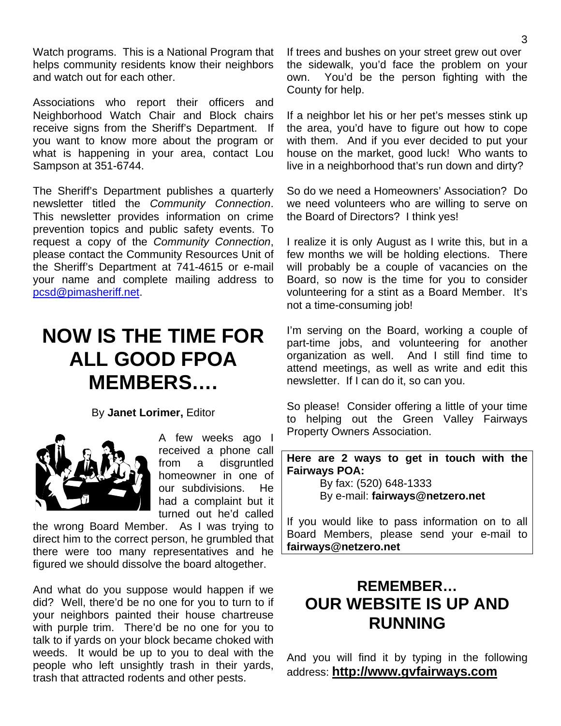Watch programs. This is a National Program that helps community residents know their neighbors and watch out for each other.

Associations who report their officers and Neighborhood Watch Chair and Block chairs receive signs from the Sheriff's Department. If you want to know more about the program or what is happening in your area, contact Lou Sampson at 351-6744.

The Sheriff's Department publishes a quarterly newsletter titled the *Community Connection*. This newsletter provides information on crime prevention topics and public safety events. To request a copy of the *Community Connection*, please contact the Community Resources Unit of the Sheriff's Department at 741-4615 or e-mail your name and complete mailing address to pcsd@pimasheriff.net.

# **NOW IS THE TIME FOR ALL GOOD FPOA MEMBERS….**

By **Janet Lorimer,** Editor



A few weeks ago I received a phone call from a disgruntled homeowner in one of our subdivisions. He had a complaint but it turned out he'd called

the wrong Board Member. As I was trying to direct him to the correct person, he grumbled that there were too many representatives and he figured we should dissolve the board altogether.

And what do you suppose would happen if we did? Well, there'd be no one for you to turn to if your neighbors painted their house chartreuse with purple trim. There'd be no one for you to talk to if yards on your block became choked with weeds. It would be up to you to deal with the people who left unsightly trash in their yards, trash that attracted rodents and other pests.

If trees and bushes on your street grew out over the sidewalk, you'd face the problem on your own. You'd be the person fighting with the County for help.

If a neighbor let his or her pet's messes stink up the area, you'd have to figure out how to cope with them. And if you ever decided to put your house on the market, good luck! Who wants to live in a neighborhood that's run down and dirty?

So do we need a Homeowners' Association? Do we need volunteers who are willing to serve on the Board of Directors? I think yes!

I realize it is only August as I write this, but in a few months we will be holding elections. There will probably be a couple of vacancies on the Board, so now is the time for you to consider volunteering for a stint as a Board Member. It's not a time-consuming job!

I'm serving on the Board, working a couple of part-time jobs, and volunteering for another organization as well. And I still find time to attend meetings, as well as write and edit this newsletter. If I can do it, so can you.

So please! Consider offering a little of your time to helping out the Green Valley Fairways Property Owners Association.

**Here are 2 ways to get in touch with the Fairways POA:** 

> By fax: (520) 648-1333 By e-mail: **fairways@netzero.net**

If you would like to pass information on to all Board Members, please send your e-mail to **fairways@netzero.net**

## **REMEMBER… OUR WEBSITE IS UP AND RUNNING**

And you will find it by typing in the following address: **http://www.gvfairways.com**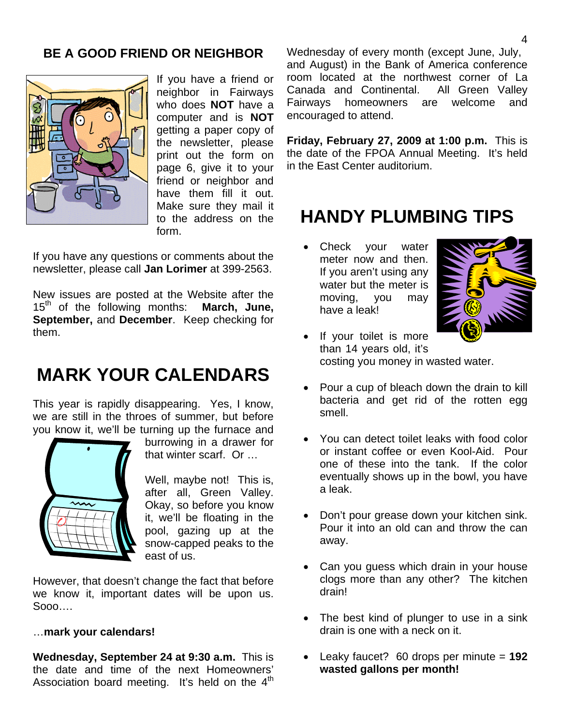### **BE A GOOD FRIEND OR NEIGHBOR**



If you have a friend or neighbor in Fairways who does **NOT** have a computer and is **NOT** getting a paper copy of the newsletter, please print out the form on page 6, give it to your friend or neighbor and have them fill it out. Make sure they mail it to the address on the form.

If you have any questions or comments about the newsletter, please call **Jan Lorimer** at 399-2563.

New issues are posted at the Website after the 15th of the following months: **March, June, September,** and **December**. Keep checking for them.

# **MARK YOUR CALENDARS**

This year is rapidly disappearing. Yes, I know, we are still in the throes of summer, but before you know it, we'll be turning up the furnace and



burrowing in a drawer for that winter scarf. Or …

Well, maybe not! This is, after all, Green Valley. Okay, so before you know it, we'll be floating in the pool, gazing up at the snow-capped peaks to the east of us.

However, that doesn't change the fact that before we know it, important dates will be upon us. Sooo….

#### …**mark your calendars!**

**Wednesday, September 24 at 9:30 a.m.** This is the date and time of the next Homeowners' Association board meeting. It's held on the  $4<sup>th</sup>$  Wednesday of every month (except June, July, and August) in the Bank of America conference room located at the northwest corner of La Canada and Continental. All Green Valley Fairways homeowners are welcome and encouraged to attend.

**Friday, February 27, 2009 at 1:00 p.m.** This is the date of the FPOA Annual Meeting. It's held in the East Center auditorium.

## **HANDY PLUMBING TIPS**

Check your water meter now and then. If you aren't using any water but the meter is moving, you may have a leak!



- If your toilet is more than 14 years old, it's costing you money in wasted water.
- Pour a cup of bleach down the drain to kill bacteria and get rid of the rotten egg smell.
- You can detect toilet leaks with food color or instant coffee or even Kool-Aid. Pour one of these into the tank. If the color eventually shows up in the bowl, you have a leak.
- Don't pour grease down your kitchen sink. Pour it into an old can and throw the can away.
- Can you guess which drain in your house clogs more than any other? The kitchen drain!
- The best kind of plunger to use in a sink drain is one with a neck on it.
- Leaky faucet? 60 drops per minute = **192 wasted gallons per month!**